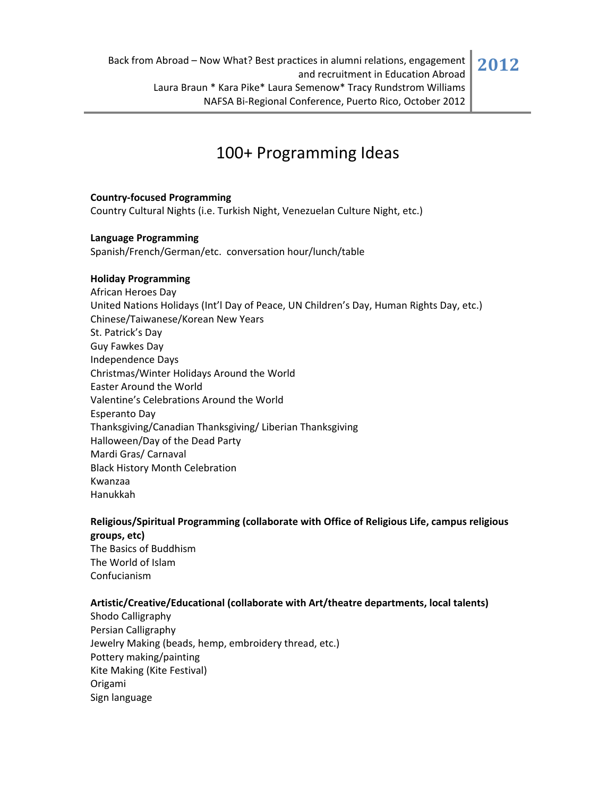## 100+ Programming Ideas

## **Country‐focused Programming**

Country Cultural Nights (i.e. Turkish Night, Venezuelan Culture Night, etc.)

#### **Language Programming**

Spanish/French/German/etc. conversation hour/lunch/table

#### **Holiday Programming**

African Heroes Day United Nations Holidays (Int'l Day of Peace, UN Children's Day, Human Rights Day, etc.) Chinese/Taiwanese/Korean New Years St. Patrick's Day Guy Fawkes Day Independence Days Christmas/Winter Holidays Around the World Easter Around the World Valentine's Celebrations Around the World Esperanto Day Thanksgiving/Canadian Thanksgiving/ Liberian Thanksgiving Halloween/Day of the Dead Party Mardi Gras/ Carnaval Black History Month Celebration Kwanzaa Hanukkah

## **Religious/Spiritual Programming (collaborate with Office of Religious Life, campus religious groups, etc)**

The Basics of Buddhism The World of Islam Confucianism

### **Artistic/Creative/Educational (collaborate with Art/theatre departments, local talents)**

Shodo Calligraphy Persian Calligraphy Jewelry Making (beads, hemp, embroidery thread, etc.) Pottery making/painting Kite Making (Kite Festival) Origami Sign language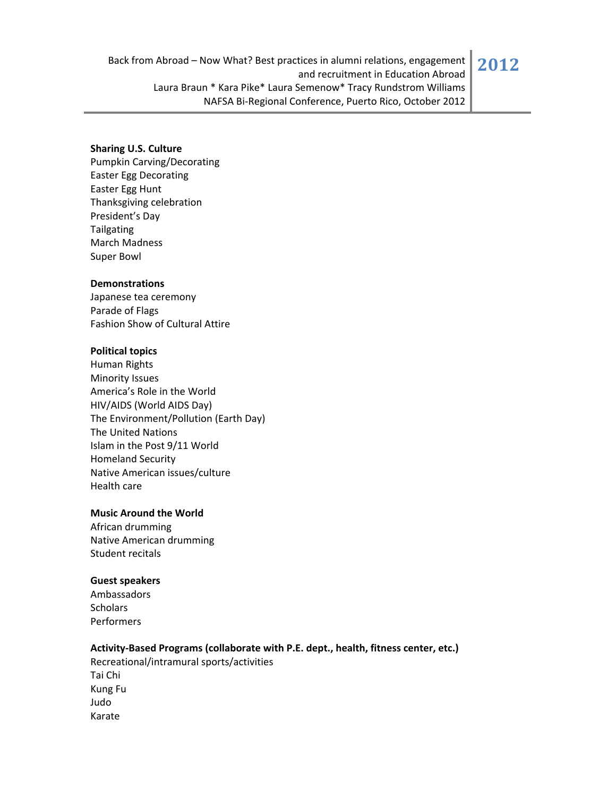#### **Sharing U.S. Culture**

Pumpkin Carving/Decorating Easter Egg Decorating Easter Egg Hunt Thanksgiving celebration President's Day Tailgating March Madness Super Bowl

#### **Demonstrations**

Japanese tea ceremony Parade of Flags Fashion Show of Cultural Attire

#### **Political topics**

Human Rights Minority Issues America's Role in the World HIV/AIDS (World AIDS Day) The Environment/Pollution (Earth Day) The United Nations Islam in the Post 9/11 World Homeland Security Native American issues/culture Health care

#### **Music Around the World**

African drumming Native American drumming Student recitals

## **Guest speakers**

Ambassadors **Scholars** Performers

#### **Activity‐Based Programs (collaborate with P.E. dept., health, fitness center, etc.)**

Recreational/intramural sports/activities Tai Chi Kung Fu Judo Karate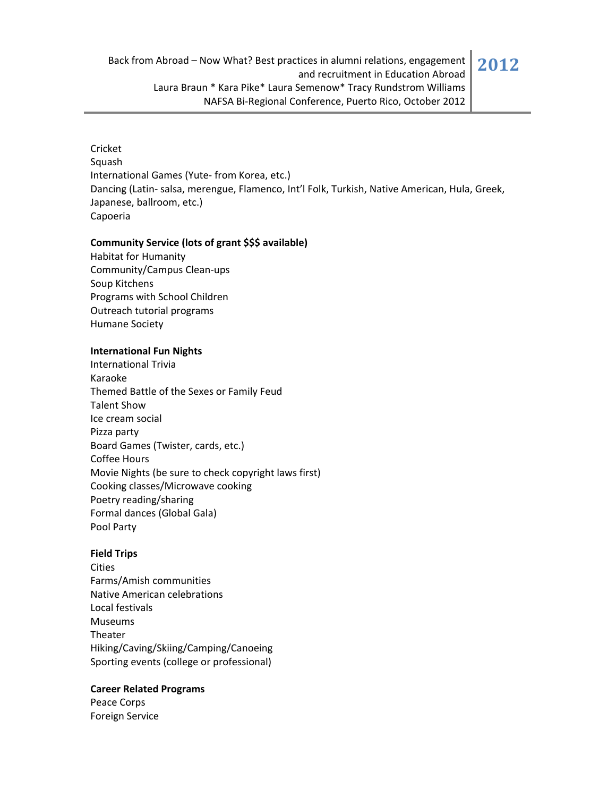### Cricket

Squash International Games (Yute‐ from Korea, etc.) Dancing (Latin‐ salsa, merengue, Flamenco, Int'l Folk, Turkish, Native American, Hula, Greek, Japanese, ballroom, etc.) Capoeria

### **Community Service (lots of grant \$\$\$ available)**

Habitat for Humanity Community/Campus Clean‐ups Soup Kitchens Programs with School Children Outreach tutorial programs Humane Society

## **International Fun Nights**

International Trivia Karaoke Themed Battle of the Sexes or Family Feud Talent Show Ice cream social Pizza party Board Games (Twister, cards, etc.) Coffee Hours Movie Nights (be sure to check copyright laws first) Cooking classes/Microwave cooking Poetry reading/sharing Formal dances (Global Gala) Pool Party

## **Field Trips**

**Cities** Farms/Amish communities Native American celebrations Local festivals Museums Theater Hiking/Caving/Skiing/Camping/Canoeing Sporting events (college or professional)

## **Career Related Programs**

Peace Corps Foreign Service